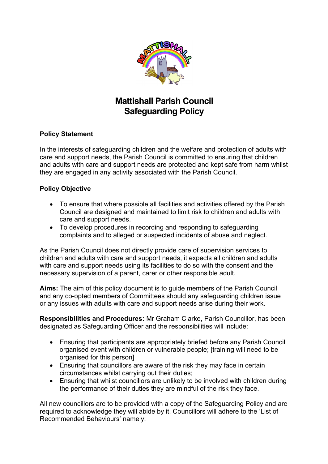

# **Mattishall Parish Council Safeguarding Policy**

### **Policy Statement**

In the interests of safeguarding children and the welfare and protection of adults with care and support needs, the Parish Council is committed to ensuring that children and adults with care and support needs are protected and kept safe from harm whilst they are engaged in any activity associated with the Parish Council.

#### **Policy Objective**

- To ensure that where possible all facilities and activities offered by the Parish Council are designed and maintained to limit risk to children and adults with care and support needs.
- To develop procedures in recording and responding to safeguarding complaints and to alleged or suspected incidents of abuse and neglect.

As the Parish Council does not directly provide care of supervision services to children and adults with care and support needs, it expects all children and adults with care and support needs using its facilities to do so with the consent and the necessary supervision of a parent, carer or other responsible adult.

**Aims:** The aim of this policy document is to guide members of the Parish Council and any co-opted members of Committees should any safeguarding children issue or any issues with adults with care and support needs arise during their work.

**Responsibilities and Procedures:** Mr Graham Clarke, Parish Councillor, has been designated as Safeguarding Officer and the responsibilities will include:

- Ensuring that participants are appropriately briefed before any Parish Council organised event with children or vulnerable people; [training will need to be organised for this person]
- Ensuring that councillors are aware of the risk they may face in certain circumstances whilst carrying out their duties;
- Ensuring that whilst councillors are unlikely to be involved with children during the performance of their duties they are mindful of the risk they face.

All new councillors are to be provided with a copy of the Safeguarding Policy and are required to acknowledge they will abide by it. Councillors will adhere to the 'List of Recommended Behaviours' namely: